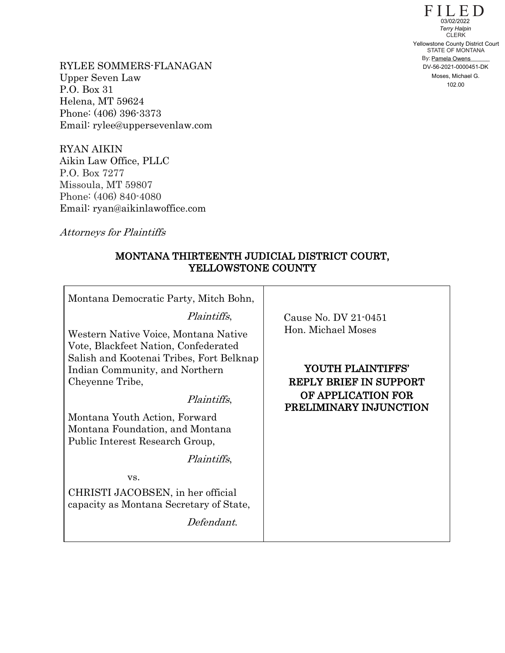$F\coprod_{03/02/2022}D$ STATE OF MONTANA By: Pamela Owens CLERK 102.00 Yellowstone County District Court<br>
102.00 Yellowstone County District Court<br>
102.022 *Terry Halpina Owens*<br>
DV-56-2021-0000451-DK<br>
102.02020

RYLEE SOMMERS-FLANAGAN Upper Seven Law P.O. Box 31 Helena, MT 59624 Phone: (406) 396-3373 Email: rylee@uppersevenlaw.com

RYAN AIKIN Aikin Law Office, PLLC P.O. Box 7277 Missoula, MT 59807 Phone: (406) 840-4080 Email: ryan@aikinlawoffice.com

Attorneys for Plaintiffs

# MONTANA THIRTEENTH JUDICIAL DISTRICT COURT, YELLOWSTONE COUNTY

| Montana Democratic Party, Mitch Bohn,                                                                                                                                                                                                                                                                                              |                                                                                                                                                  |  |  |
|------------------------------------------------------------------------------------------------------------------------------------------------------------------------------------------------------------------------------------------------------------------------------------------------------------------------------------|--------------------------------------------------------------------------------------------------------------------------------------------------|--|--|
| <i>Plaintiffs</i> ,<br>Western Native Voice, Montana Native<br>Vote, Blackfeet Nation, Confederated<br>Salish and Kootenai Tribes, Fort Belknap<br>Indian Community, and Northern<br>Cheyenne Tribe,<br><i>Plaintiffs</i> ,<br>Montana Youth Action, Forward<br>Montana Foundation, and Montana<br>Public Interest Research Group, | Cause No. DV 21-0451<br>Hon. Michael Moses<br>YOUTH PLAINTIFFS'<br><b>REPLY BRIEF IN SUPPORT</b><br>OF APPLICATION FOR<br>PRELIMINARY INJUNCTION |  |  |
| <i>Plaintiffs</i> ,<br>VS.<br>CHRISTI JACOBSEN, in her official<br>capacity as Montana Secretary of State,<br>Defendant.                                                                                                                                                                                                           |                                                                                                                                                  |  |  |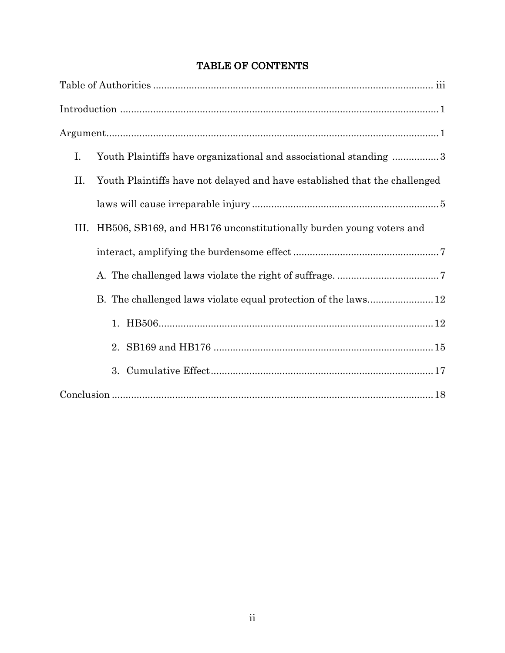|  |  | <b>TABLE OF CONTENTS</b> |
|--|--|--------------------------|
|--|--|--------------------------|

| Ι.   | Youth Plaintiffs have organizational and associational standing 3          |
|------|----------------------------------------------------------------------------|
| П.   | Youth Plaintiffs have not delayed and have established that the challenged |
|      |                                                                            |
| III. | HB506, SB169, and HB176 unconstitutionally burden young voters and         |
|      |                                                                            |
|      |                                                                            |
|      |                                                                            |
|      |                                                                            |
|      |                                                                            |
|      |                                                                            |
|      |                                                                            |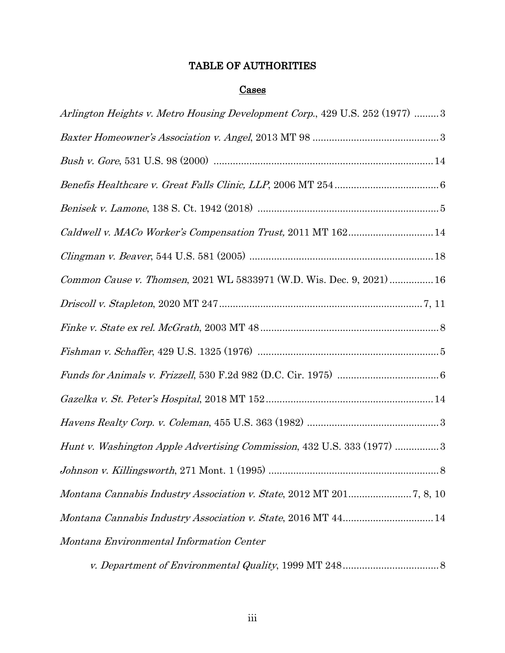# TABLE OF AUTHORITIES

# **Cases**

v. Department of Environmental Quality, 1999 MT 248...................................8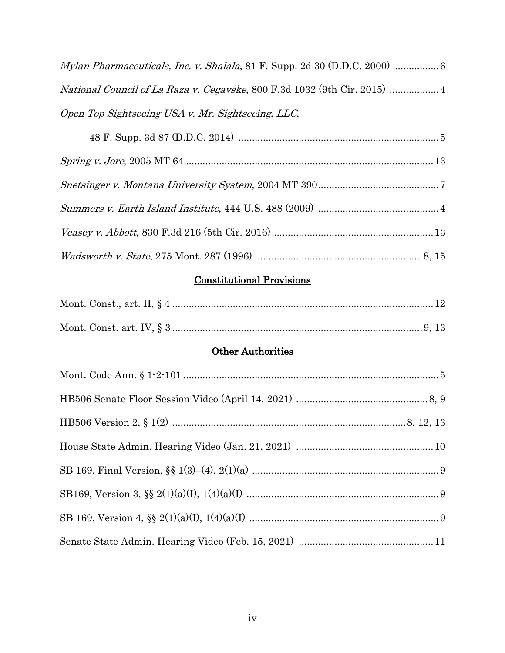| <i>National Council of La Raza v. Cegavske, 800 F.3d 1032 (9th Cir. 2015) </i> |
|--------------------------------------------------------------------------------|
| Open Top Sightseeing USA v. Mr. Sightseeing, LLC,                              |

# Constitutional Provisions

# **Other Authorities**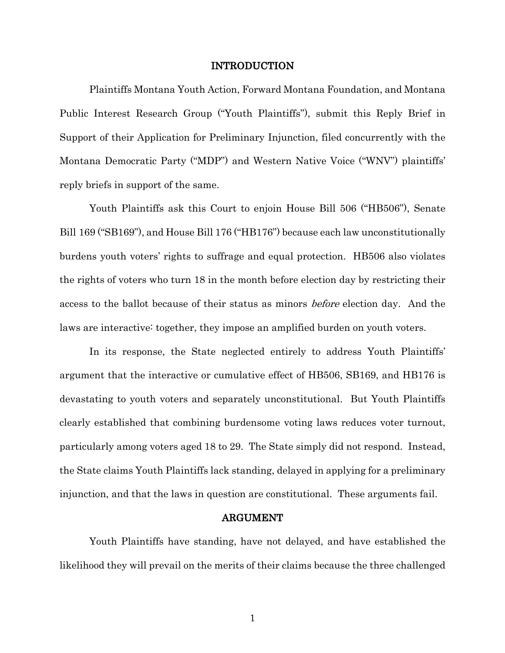### INTRODUCTION

Plaintiffs Montana Youth Action, Forward Montana Foundation, and Montana Public Interest Research Group ("Youth Plaintiffs"), submit this Reply Brief in Support of their Application for Preliminary Injunction, filed concurrently with the Montana Democratic Party ("MDP") and Western Native Voice ("WNV") plaintiffs' reply briefs in support of the same.

Youth Plaintiffs ask this Court to enjoin House Bill 506 ("HB506"), Senate Bill 169 ("SB169"), and House Bill 176 ("HB176") because each law unconstitutionally burdens youth voters' rights to suffrage and equal protection. HB506 also violates the rights of voters who turn 18 in the month before election day by restricting their access to the ballot because of their status as minors before election day. And the laws are interactive: together, they impose an amplified burden on youth voters.

In its response, the State neglected entirely to address Youth Plaintiffs' argument that the interactive or cumulative effect of HB506, SB169, and HB176 is devastating to youth voters and separately unconstitutional. But Youth Plaintiffs clearly established that combining burdensome voting laws reduces voter turnout, particularly among voters aged 18 to 29. The State simply did not respond. Instead, the State claims Youth Plaintiffs lack standing, delayed in applying for a preliminary injunction, and that the laws in question are constitutional. These arguments fail.

### ARGUMENT

Youth Plaintiffs have standing, have not delayed, and have established the likelihood they will prevail on the merits of their claims because the three challenged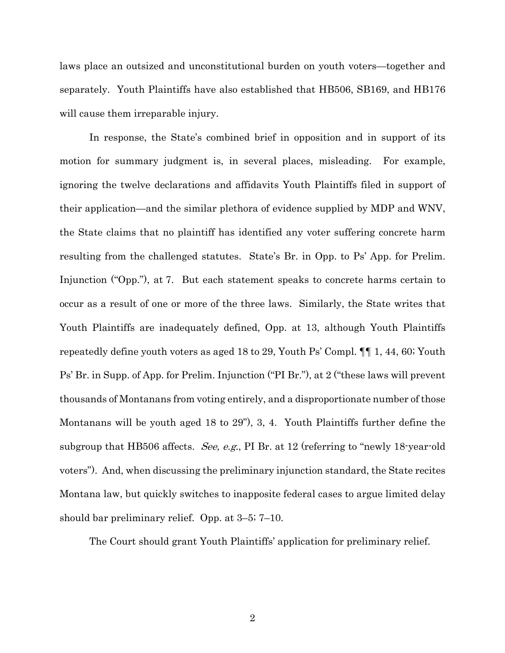laws place an outsized and unconstitutional burden on youth voters—together and separately. Youth Plaintiffs have also established that HB506, SB169, and HB176 will cause them irreparable injury.

In response, the State's combined brief in opposition and in support of its motion for summary judgment is, in several places, misleading. For example, ignoring the twelve declarations and affidavits Youth Plaintiffs filed in support of their application—and the similar plethora of evidence supplied by MDP and WNV, the State claims that no plaintiff has identified any voter suffering concrete harm resulting from the challenged statutes. State's Br. in Opp. to Ps' App. for Prelim. Injunction ("Opp."), at 7. But each statement speaks to concrete harms certain to occur as a result of one or more of the three laws. Similarly, the State writes that Youth Plaintiffs are inadequately defined, Opp. at 13, although Youth Plaintiffs repeatedly define youth voters as aged 18 to 29, Youth Ps' Compl. ¶¶ 1, 44, 60; Youth Ps' Br. in Supp. of App. for Prelim. Injunction ("PI Br."), at 2 ("these laws will prevent thousands of Montanans from voting entirely, and a disproportionate number of those Montanans will be youth aged 18 to 29"), 3, 4. Youth Plaintiffs further define the subgroup that HB506 affects. See, e.g., PI Br. at 12 (referring to "newly 18-year-old voters"). And, when discussing the preliminary injunction standard, the State recites Montana law, but quickly switches to inapposite federal cases to argue limited delay should bar preliminary relief. Opp. at 3–5; 7–10.

The Court should grant Youth Plaintiffs' application for preliminary relief.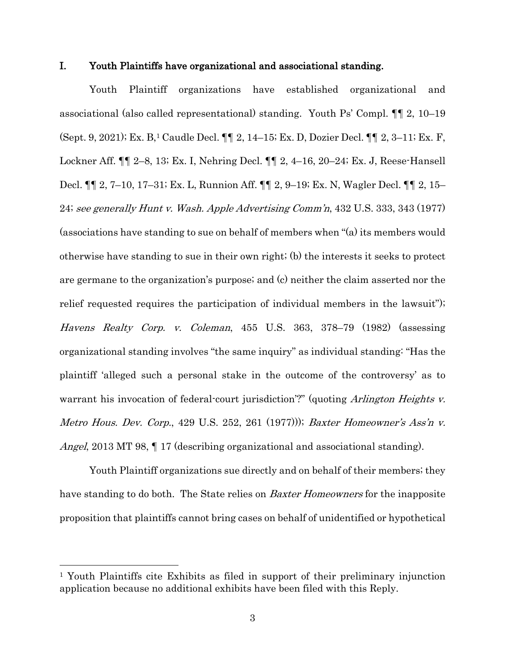## I. Youth Plaintiffs have organizational and associational standing.

Youth Plaintiff organizations have established organizational and associational (also called representational) standing. Youth Ps' Compl. ¶¶ 2, 10–19 (Sept. 9, 2021); Ex. B,1 Caudle Decl. ¶¶ 2, 14–15; Ex. D, Dozier Decl. ¶¶ 2, 3–11; Ex. F, Lockner Aff. ¶¶ 2–8, 13; Ex. I, Nehring Decl. ¶¶ 2, 4–16, 20–24; Ex. J, Reese-Hansell Decl. ¶¶ 2, 7–10, 17–31; Ex. L, Runnion Aff. ¶¶ 2, 9–19; Ex. N, Wagler Decl. ¶¶ 2, 15– 24; see generally Hunt v. Wash. Apple Advertising Comm'n, 432 U.S. 333, 343 (1977) (associations have standing to sue on behalf of members when "(a) its members would otherwise have standing to sue in their own right; (b) the interests it seeks to protect are germane to the organization's purpose; and (c) neither the claim asserted nor the relief requested requires the participation of individual members in the lawsuit"); Havens Realty Corp. v. Coleman, 455 U.S. 363, 378–79 (1982) (assessing organizational standing involves "the same inquiry" as individual standing: "Has the plaintiff 'alleged such a personal stake in the outcome of the controversy' as to warrant his invocation of federal-court jurisdiction'?" (quoting Arlington Heights v. Metro Hous. Dev. Corp., 429 U.S. 252, 261 (1977))); Baxter Homeowner's Ass'n v. Angel, 2013 MT 98, 17 (describing organizational and associational standing).

Youth Plaintiff organizations sue directly and on behalf of their members; they have standing to do both. The State relies on *Baxter Homeowners* for the inapposite proposition that plaintiffs cannot bring cases on behalf of unidentified or hypothetical

<sup>1</sup> Youth Plaintiffs cite Exhibits as filed in support of their preliminary injunction application because no additional exhibits have been filed with this Reply.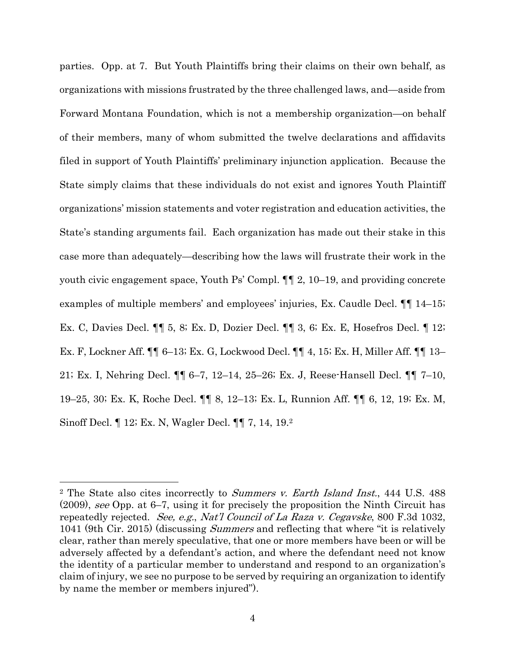parties. Opp. at 7. But Youth Plaintiffs bring their claims on their own behalf, as organizations with missions frustrated by the three challenged laws, and—aside from Forward Montana Foundation, which is not a membership organization—on behalf of their members, many of whom submitted the twelve declarations and affidavits filed in support of Youth Plaintiffs' preliminary injunction application. Because the State simply claims that these individuals do not exist and ignores Youth Plaintiff organizations' mission statements and voter registration and education activities, the State's standing arguments fail. Each organization has made out their stake in this case more than adequately—describing how the laws will frustrate their work in the youth civic engagement space, Youth Ps' Compl. ¶¶ 2, 10–19, and providing concrete examples of multiple members' and employees' injuries, Ex. Caudle Decl. ¶¶ 14–15; Ex. C, Davies Decl. ¶¶ 5, 8; Ex. D, Dozier Decl. ¶¶ 3, 6; Ex. E, Hosefros Decl. ¶ 12; Ex. F, Lockner Aff. ¶¶ 6–13; Ex. G, Lockwood Decl. ¶¶ 4, 15; Ex. H, Miller Aff. ¶¶ 13– 21; Ex. I, Nehring Decl. ¶¶ 6–7, 12–14, 25–26; Ex. J, Reese-Hansell Decl. ¶¶ 7–10, 19–25, 30; Ex. K, Roche Decl. ¶¶ 8, 12–13; Ex. L, Runnion Aff. ¶¶ 6, 12, 19; Ex. M, Sinoff Decl. ¶ 12; Ex. N, Wagler Decl. ¶¶ 7, 14, 19.2

<sup>&</sup>lt;sup>2</sup> The State also cites incorrectly to Summers v. Earth Island Inst., 444 U.S. 488 (2009), see Opp. at 6–7, using it for precisely the proposition the Ninth Circuit has repeatedly rejected. See, e.g., Nat'l Council of La Raza v. Cegavske, 800 F.3d 1032, 1041 (9th Cir. 2015) (discussing *Summers* and reflecting that where "it is relatively clear, rather than merely speculative, that one or more members have been or will be adversely affected by a defendant's action, and where the defendant need not know the identity of a particular member to understand and respond to an organization's claim of injury, we see no purpose to be served by requiring an organization to identify by name the member or members injured").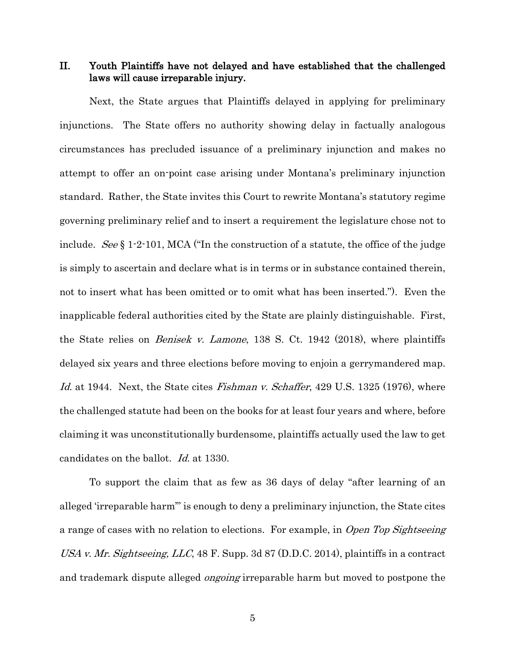II. Youth Plaintiffs have not delayed and have established that the challenged laws will cause irreparable injury.

Next, the State argues that Plaintiffs delayed in applying for preliminary injunctions. The State offers no authority showing delay in factually analogous circumstances has precluded issuance of a preliminary injunction and makes no attempt to offer an on-point case arising under Montana's preliminary injunction standard. Rather, the State invites this Court to rewrite Montana's statutory regime governing preliminary relief and to insert a requirement the legislature chose not to include. See § 1.2.101, MCA ("In the construction of a statute, the office of the judge is simply to ascertain and declare what is in terms or in substance contained therein, not to insert what has been omitted or to omit what has been inserted."). Even the inapplicable federal authorities cited by the State are plainly distinguishable. First, the State relies on Benisek v. Lamone, 138 S. Ct. 1942 (2018), where plaintiffs delayed six years and three elections before moving to enjoin a gerrymandered map. Id. at 1944. Next, the State cites *Fishman v. Schaffer*, 429 U.S. 1325 (1976), where the challenged statute had been on the books for at least four years and where, before claiming it was unconstitutionally burdensome, plaintiffs actually used the law to get candidates on the ballot. Id. at 1330.

To support the claim that as few as 36 days of delay "after learning of an alleged 'irreparable harm'" is enough to deny a preliminary injunction, the State cites a range of cases with no relation to elections. For example, in Open Top Sightseeing USA v. Mr. Sightseeing, LLC, 48 F. Supp. 3d 87 (D.D.C. 2014), plaintiffs in a contract and trademark dispute alleged *ongoing* irreparable harm but moved to postpone the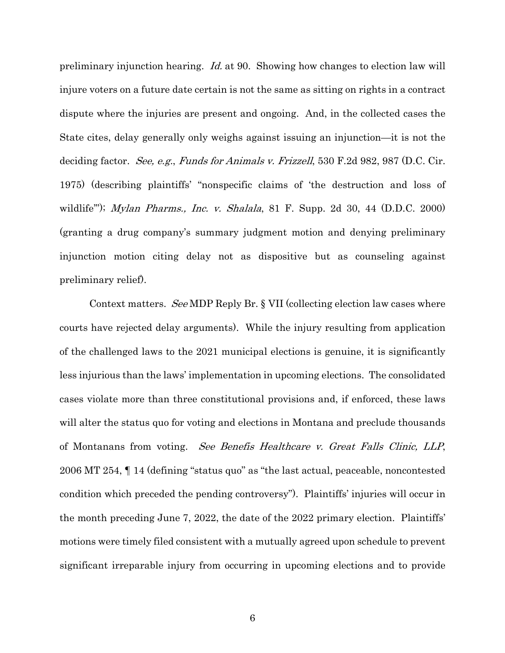preliminary injunction hearing. Id. at 90. Showing how changes to election law will injure voters on a future date certain is not the same as sitting on rights in a contract dispute where the injuries are present and ongoing. And, in the collected cases the State cites, delay generally only weighs against issuing an injunction—it is not the deciding factor. See, e.g., Funds for Animals v. Frizzell, 530 F.2d 982, 987 (D.C. Cir. 1975) (describing plaintiffs' "nonspecific claims of 'the destruction and loss of wildlife"'); *Mylan Pharms., Inc. v. Shalala*, 81 F. Supp. 2d 30, 44 (D.D.C. 2000) (granting a drug company's summary judgment motion and denying preliminary injunction motion citing delay not as dispositive but as counseling against preliminary relief).

Context matters. See MDP Reply Br. § VII (collecting election law cases where courts have rejected delay arguments). While the injury resulting from application of the challenged laws to the 2021 municipal elections is genuine, it is significantly less injurious than the laws' implementation in upcoming elections. The consolidated cases violate more than three constitutional provisions and, if enforced, these laws will alter the status quo for voting and elections in Montana and preclude thousands of Montanans from voting. See Benefis Healthcare v. Great Falls Clinic, LLP, 2006 MT 254, ¶ 14 (defining "status quo" as "the last actual, peaceable, noncontested condition which preceded the pending controversy"). Plaintiffs' injuries will occur in the month preceding June 7, 2022, the date of the 2022 primary election. Plaintiffs' motions were timely filed consistent with a mutually agreed upon schedule to prevent significant irreparable injury from occurring in upcoming elections and to provide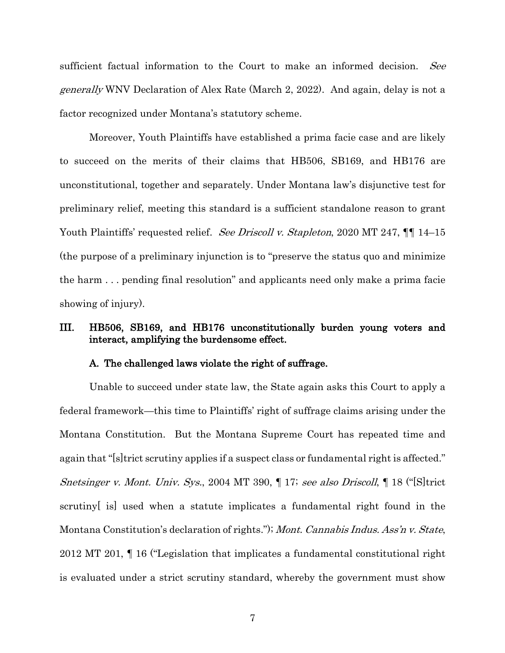sufficient factual information to the Court to make an informed decision. See generally WNV Declaration of Alex Rate (March 2, 2022). And again, delay is not a factor recognized under Montana's statutory scheme.

Moreover, Youth Plaintiffs have established a prima facie case and are likely to succeed on the merits of their claims that HB506, SB169, and HB176 are unconstitutional, together and separately. Under Montana law's disjunctive test for preliminary relief, meeting this standard is a sufficient standalone reason to grant Youth Plaintiffs' requested relief. See Driscoll v. Stapleton, 2020 MT 247,  $\P\P$  14–15 (the purpose of a preliminary injunction is to "preserve the status quo and minimize the harm . . . pending final resolution" and applicants need only make a prima facie showing of injury).

## III. HB506, SB169, and HB176 unconstitutionally burden young voters and interact, amplifying the burdensome effect.

## A. The challenged laws violate the right of suffrage.

Unable to succeed under state law, the State again asks this Court to apply a federal framework—this time to Plaintiffs' right of suffrage claims arising under the Montana Constitution. But the Montana Supreme Court has repeated time and again that "[s]trict scrutiny applies if a suspect class or fundamental right is affected." Snetsinger v. Mont. Univ. Sys., 2004 MT 390, ¶ 17; see also Driscoll, ¶ 18 ("[S]trict scrutiny[ is] used when a statute implicates a fundamental right found in the Montana Constitution's declaration of rights."); Mont. Cannabis Indus. Ass'n v. State, 2012 MT 201, ¶ 16 ("Legislation that implicates a fundamental constitutional right is evaluated under a strict scrutiny standard, whereby the government must show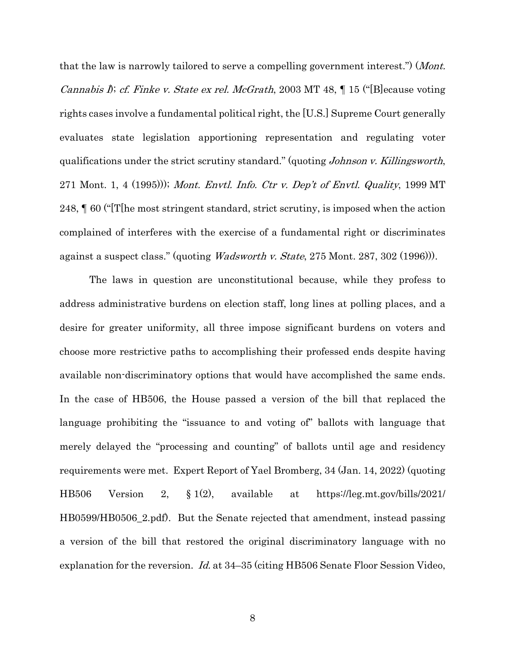that the law is narrowly tailored to serve a compelling government interest.") (*Mont. Cannabis I); cf. Finke v. State ex rel. McGrath,* 2003 MT 48,  $\parallel$  15 ("[B] ecause voting rights cases involve a fundamental political right, the [U.S.] Supreme Court generally evaluates state legislation apportioning representation and regulating voter qualifications under the strict scrutiny standard." (quoting Johnson v. Killingsworth, 271 Mont. 1, 4 (1995))); Mont. Envtl. Info. Ctr v. Dep't of Envtl. Quality, 1999 MT 248, ¶ 60 ("[T[he most stringent standard, strict scrutiny, is imposed when the action complained of interferes with the exercise of a fundamental right or discriminates against a suspect class." (quoting Wadsworth v. State, 275 Mont. 287, 302 (1996))).

The laws in question are unconstitutional because, while they profess to address administrative burdens on election staff, long lines at polling places, and a desire for greater uniformity, all three impose significant burdens on voters and choose more restrictive paths to accomplishing their professed ends despite having available non-discriminatory options that would have accomplished the same ends. In the case of HB506, the House passed a version of the bill that replaced the language prohibiting the "issuance to and voting of" ballots with language that merely delayed the "processing and counting" of ballots until age and residency requirements were met. Expert Report of Yael Bromberg, 34 (Jan. 14, 2022) (quoting HB506 Version 2, § 1(2), available at https://leg.mt.gov/bills/2021/ HB0599/HB0506\_2.pdf). But the Senate rejected that amendment, instead passing a version of the bill that restored the original discriminatory language with no explanation for the reversion. Id. at 34–35 (citing HB506 Senate Floor Session Video,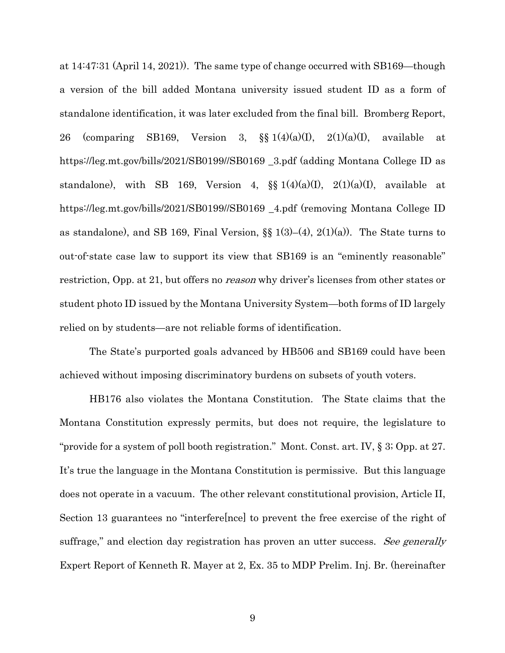at 14:47:31 (April 14, 2021)). The same type of change occurred with SB169—though a version of the bill added Montana university issued student ID as a form of standalone identification, it was later excluded from the final bill. Bromberg Report, 26 (comparing SB169, Version 3,  $\S$  1(4)(a)(I), 2(1)(a)(I), available at https://leg.mt.gov/bills/2021/SB0199//SB0169 \_3.pdf (adding Montana College ID as standalone), with SB 169, Version 4,  $\S$   $1(4)(a)(I)$ ,  $2(1)(a)(I)$ , available at https://leg.mt.gov/bills/2021/SB0199//SB0169 \_4.pdf (removing Montana College ID as standalone), and SB 169, Final Version,  $\S$  1(3)–(4), 2(1)(a)). The State turns to out-of-state case law to support its view that SB169 is an "eminently reasonable" restriction, Opp. at 21, but offers no *reason* why driver's licenses from other states or student photo ID issued by the Montana University System—both forms of ID largely relied on by students—are not reliable forms of identification.

The State's purported goals advanced by HB506 and SB169 could have been achieved without imposing discriminatory burdens on subsets of youth voters.

HB176 also violates the Montana Constitution. The State claims that the Montana Constitution expressly permits, but does not require, the legislature to "provide for a system of poll booth registration." Mont. Const. art. IV, § 3; Opp. at 27. It's true the language in the Montana Constitution is permissive. But this language does not operate in a vacuum. The other relevant constitutional provision, Article II, Section 13 guarantees no "interfere[nce] to prevent the free exercise of the right of suffrage," and election day registration has proven an utter success. See generally Expert Report of Kenneth R. Mayer at 2, Ex. 35 to MDP Prelim. Inj. Br. (hereinafter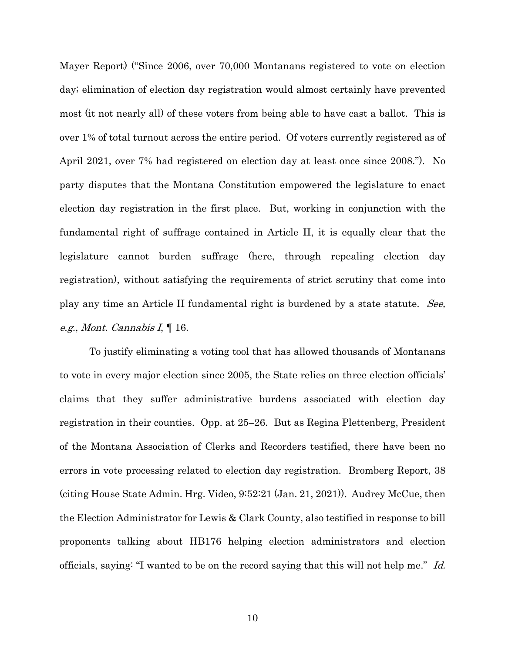Mayer Report) ("Since 2006, over 70,000 Montanans registered to vote on election day; elimination of election day registration would almost certainly have prevented most (it not nearly all) of these voters from being able to have cast a ballot. This is over 1% of total turnout across the entire period. Of voters currently registered as of April 2021, over 7% had registered on election day at least once since 2008."). No party disputes that the Montana Constitution empowered the legislature to enact election day registration in the first place. But, working in conjunction with the fundamental right of suffrage contained in Article II, it is equally clear that the legislature cannot burden suffrage (here, through repealing election day registration), without satisfying the requirements of strict scrutiny that come into play any time an Article II fundamental right is burdened by a state statute. See, e.g., Mont. Cannabis I, ¶ 16.

To justify eliminating a voting tool that has allowed thousands of Montanans to vote in every major election since 2005, the State relies on three election officials' claims that they suffer administrative burdens associated with election day registration in their counties. Opp. at 25–26. But as Regina Plettenberg, President of the Montana Association of Clerks and Recorders testified, there have been no errors in vote processing related to election day registration. Bromberg Report, 38 (citing House State Admin. Hrg. Video, 9:52:21 (Jan. 21, 2021)). Audrey McCue, then the Election Administrator for Lewis & Clark County, also testified in response to bill proponents talking about HB176 helping election administrators and election officials, saying: "I wanted to be on the record saying that this will not help me." Id.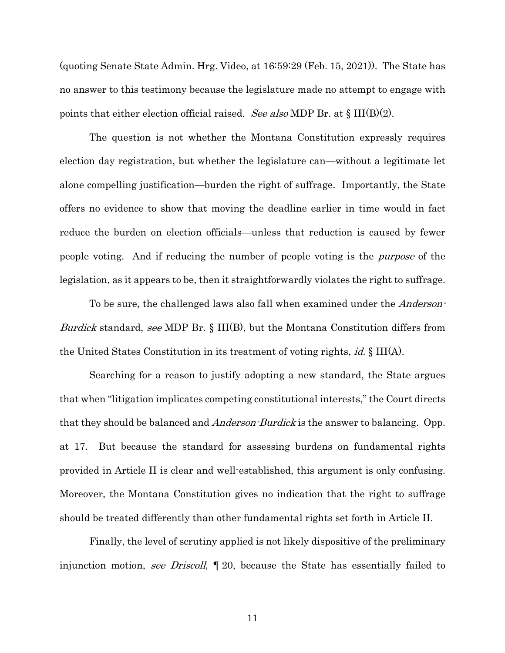(quoting Senate State Admin. Hrg. Video, at 16:59:29 (Feb. 15, 2021)). The State has no answer to this testimony because the legislature made no attempt to engage with points that either election official raised. See also MDP Br. at  $\S$  III(B)(2).

The question is not whether the Montana Constitution expressly requires election day registration, but whether the legislature can—without a legitimate let alone compelling justification—burden the right of suffrage. Importantly, the State offers no evidence to show that moving the deadline earlier in time would in fact reduce the burden on election officials—unless that reduction is caused by fewer people voting. And if reducing the number of people voting is the purpose of the legislation, as it appears to be, then it straightforwardly violates the right to suffrage.

To be sure, the challenged laws also fall when examined under the *Anderson*-Burdick standard, see MDP Br. § III(B), but the Montana Constitution differs from the United States Constitution in its treatment of voting rights, id. § III(A).

Searching for a reason to justify adopting a new standard, the State argues that when "litigation implicates competing constitutional interests," the Court directs that they should be balanced and *Anderson-Burdick* is the answer to balancing. Opp. at 17. But because the standard for assessing burdens on fundamental rights provided in Article II is clear and well-established, this argument is only confusing. Moreover, the Montana Constitution gives no indication that the right to suffrage should be treated differently than other fundamental rights set forth in Article II.

Finally, the level of scrutiny applied is not likely dispositive of the preliminary injunction motion, see Driscoll, 120, because the State has essentially failed to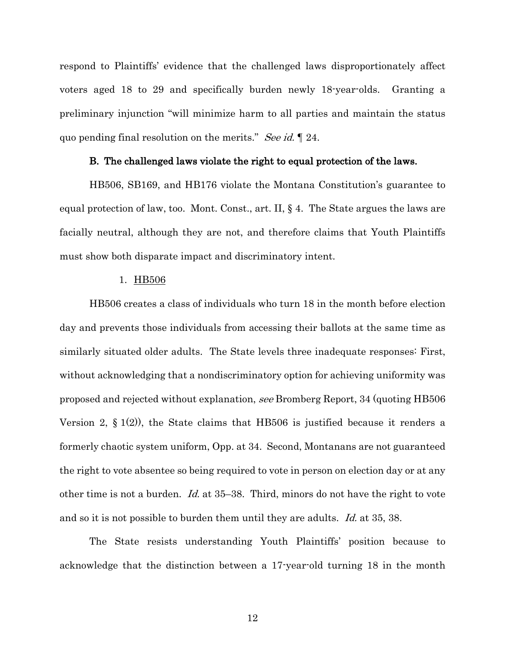respond to Plaintiffs' evidence that the challenged laws disproportionately affect voters aged 18 to 29 and specifically burden newly 18-year-olds. Granting a preliminary injunction "will minimize harm to all parties and maintain the status quo pending final resolution on the merits." See id. 124.

#### B. The challenged laws violate the right to equal protection of the laws.

HB506, SB169, and HB176 violate the Montana Constitution's guarantee to equal protection of law, too. Mont. Const., art. II, § 4. The State argues the laws are facially neutral, although they are not, and therefore claims that Youth Plaintiffs must show both disparate impact and discriminatory intent.

### 1. HB506

HB506 creates a class of individuals who turn 18 in the month before election day and prevents those individuals from accessing their ballots at the same time as similarly situated older adults. The State levels three inadequate responses: First, without acknowledging that a nondiscriminatory option for achieving uniformity was proposed and rejected without explanation, see Bromberg Report, 34 (quoting HB506 Version 2, § 1(2)), the State claims that HB506 is justified because it renders a formerly chaotic system uniform, Opp. at 34. Second, Montanans are not guaranteed the right to vote absentee so being required to vote in person on election day or at any other time is not a burden. Id. at 35–38. Third, minors do not have the right to vote and so it is not possible to burden them until they are adults. Id. at 35, 38.

The State resists understanding Youth Plaintiffs' position because to acknowledge that the distinction between a 17-year-old turning 18 in the month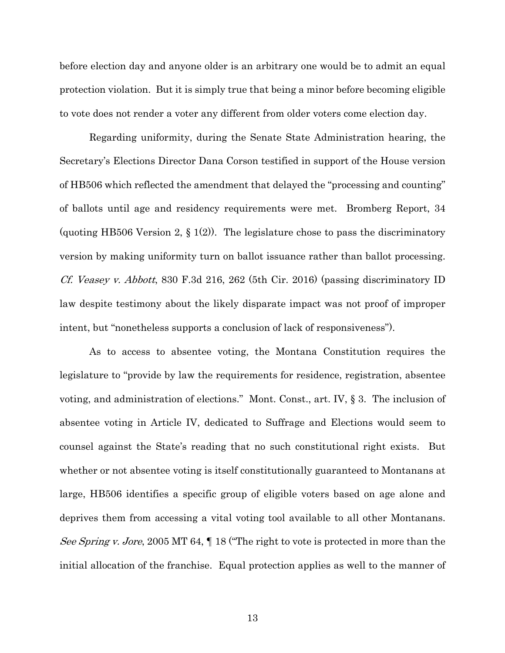before election day and anyone older is an arbitrary one would be to admit an equal protection violation. But it is simply true that being a minor before becoming eligible to vote does not render a voter any different from older voters come election day.

Regarding uniformity, during the Senate State Administration hearing, the Secretary's Elections Director Dana Corson testified in support of the House version of HB506 which reflected the amendment that delayed the "processing and counting" of ballots until age and residency requirements were met. Bromberg Report, 34 (quoting HB506 Version 2,  $\S$  1(2)). The legislature chose to pass the discriminatory version by making uniformity turn on ballot issuance rather than ballot processing. Cf. Veasey v. Abbott, 830 F.3d 216, 262 (5th Cir. 2016) (passing discriminatory ID law despite testimony about the likely disparate impact was not proof of improper intent, but "nonetheless supports a conclusion of lack of responsiveness").

As to access to absentee voting, the Montana Constitution requires the legislature to "provide by law the requirements for residence, registration, absentee voting, and administration of elections." Mont. Const., art. IV, § 3. The inclusion of absentee voting in Article IV, dedicated to Suffrage and Elections would seem to counsel against the State's reading that no such constitutional right exists. But whether or not absentee voting is itself constitutionally guaranteed to Montanans at large, HB506 identifies a specific group of eligible voters based on age alone and deprives them from accessing a vital voting tool available to all other Montanans. See Spring v. Jore, 2005 MT 64,  $\P$  18 ("The right to vote is protected in more than the initial allocation of the franchise. Equal protection applies as well to the manner of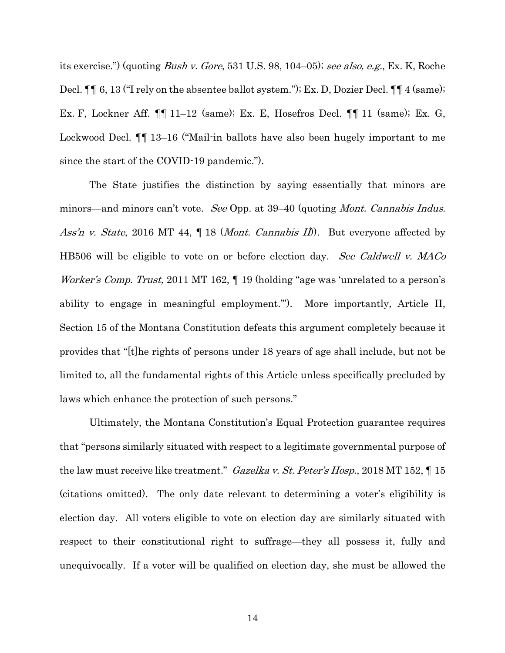its exercise.") (quoting Bush v. Gore, 531 U.S. 98, 104–05); see also, e.g., Ex. K, Roche Decl.  $\P\P$  6, 13 ("I rely on the absentee ballot system."); Ex. D, Dozier Decl.  $\P\P$  4 (same); Ex. F, Lockner Aff. ¶¶ 11–12 (same); Ex. E, Hosefros Decl. ¶¶ 11 (same); Ex. G, Lockwood Decl. ¶¶ 13–16 ("Mail-in ballots have also been hugely important to me since the start of the COVID-19 pandemic.").

The State justifies the distinction by saying essentially that minors are minors—and minors can't vote. See Opp. at 39–40 (quoting *Mont. Cannabis Indus.* Ass'n v. State, 2016 MT 44,  $\P$  18 (*Mont. Cannabis II*). But everyone affected by HB506 will be eligible to vote on or before election day. See Caldwell v. MACo Worker's Comp. Trust, 2011 MT 162,  $\P$  19 (holding "age was 'unrelated to a person's ability to engage in meaningful employment.'"). More importantly, Article II, Section 15 of the Montana Constitution defeats this argument completely because it provides that "[t]he rights of persons under 18 years of age shall include, but not be limited to, all the fundamental rights of this Article unless specifically precluded by laws which enhance the protection of such persons."

Ultimately, the Montana Constitution's Equal Protection guarantee requires that "persons similarly situated with respect to a legitimate governmental purpose of the law must receive like treatment." Gazelka v. St. Peter's Hosp., 2018 MT 152,  $\P$  15 (citations omitted). The only date relevant to determining a voter's eligibility is election day. All voters eligible to vote on election day are similarly situated with respect to their constitutional right to suffrage—they all possess it, fully and unequivocally. If a voter will be qualified on election day, she must be allowed the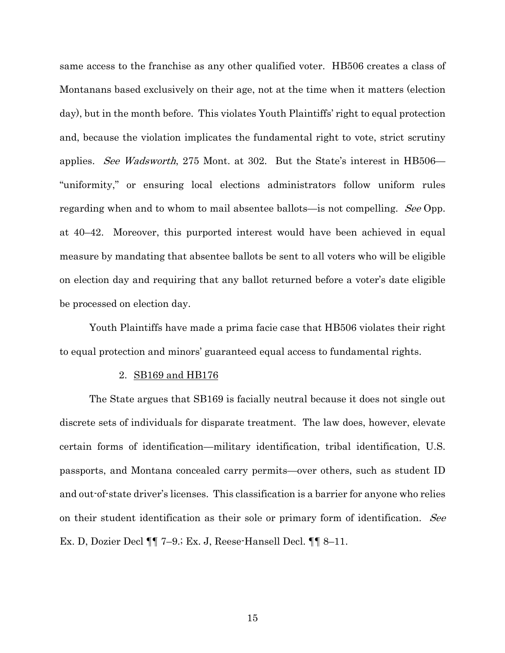same access to the franchise as any other qualified voter. HB506 creates a class of Montanans based exclusively on their age, not at the time when it matters (election day), but in the month before. This violates Youth Plaintiffs' right to equal protection and, because the violation implicates the fundamental right to vote, strict scrutiny applies. See Wadsworth, 275 Mont. at 302. But the State's interest in HB506— "uniformity," or ensuring local elections administrators follow uniform rules regarding when and to whom to mail absentee ballots—is not compelling. See Opp. at 40–42. Moreover, this purported interest would have been achieved in equal measure by mandating that absentee ballots be sent to all voters who will be eligible on election day and requiring that any ballot returned before a voter's date eligible be processed on election day.

Youth Plaintiffs have made a prima facie case that HB506 violates their right to equal protection and minors' guaranteed equal access to fundamental rights.

#### 2. SB169 and HB176

The State argues that SB169 is facially neutral because it does not single out discrete sets of individuals for disparate treatment. The law does, however, elevate certain forms of identification—military identification, tribal identification, U.S. passports, and Montana concealed carry permits—over others, such as student ID and out-of-state driver's licenses. This classification is a barrier for anyone who relies on their student identification as their sole or primary form of identification. See Ex. D, Dozier Decl ¶¶ 7–9.; Ex. J, Reese-Hansell Decl. ¶¶ 8–11.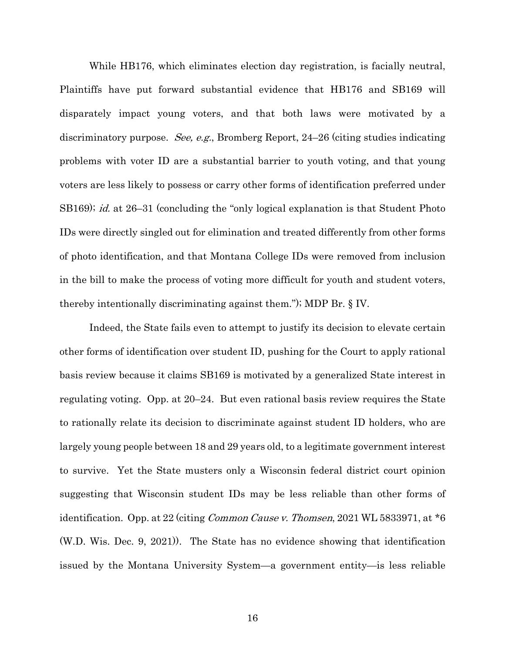While HB176, which eliminates election day registration, is facially neutral, Plaintiffs have put forward substantial evidence that HB176 and SB169 will disparately impact young voters, and that both laws were motivated by a discriminatory purpose. See, e.g., Bromberg Report, 24–26 (citing studies indicating problems with voter ID are a substantial barrier to youth voting, and that young voters are less likely to possess or carry other forms of identification preferred under SB169); *id.* at 26–31 (concluding the "only logical explanation is that Student Photo IDs were directly singled out for elimination and treated differently from other forms of photo identification, and that Montana College IDs were removed from inclusion in the bill to make the process of voting more difficult for youth and student voters, thereby intentionally discriminating against them."); MDP Br. § IV.

Indeed, the State fails even to attempt to justify its decision to elevate certain other forms of identification over student ID, pushing for the Court to apply rational basis review because it claims SB169 is motivated by a generalized State interest in regulating voting. Opp. at 20–24. But even rational basis review requires the State to rationally relate its decision to discriminate against student ID holders, who are largely young people between 18 and 29 years old, to a legitimate government interest to survive. Yet the State musters only a Wisconsin federal district court opinion suggesting that Wisconsin student IDs may be less reliable than other forms of identification. Opp. at 22 (citing *Common Cause v. Thomsen*, 2021 WL 5833971, at  $*6$ (W.D. Wis. Dec. 9, 2021)). The State has no evidence showing that identification issued by the Montana University System—a government entity—is less reliable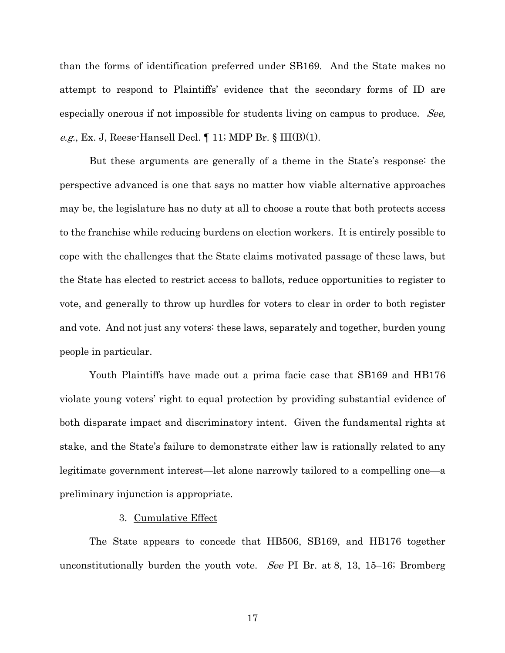than the forms of identification preferred under SB169. And the State makes no attempt to respond to Plaintiffs' evidence that the secondary forms of ID are especially onerous if not impossible for students living on campus to produce. See, e.g., Ex. J, Reese-Hansell Decl.  $\P$  11; MDP Br. § III(B)(1).

But these arguments are generally of a theme in the State's response: the perspective advanced is one that says no matter how viable alternative approaches may be, the legislature has no duty at all to choose a route that both protects access to the franchise while reducing burdens on election workers. It is entirely possible to cope with the challenges that the State claims motivated passage of these laws, but the State has elected to restrict access to ballots, reduce opportunities to register to vote, and generally to throw up hurdles for voters to clear in order to both register and vote. And not just any voters: these laws, separately and together, burden young people in particular.

Youth Plaintiffs have made out a prima facie case that SB169 and HB176 violate young voters' right to equal protection by providing substantial evidence of both disparate impact and discriminatory intent. Given the fundamental rights at stake, and the State's failure to demonstrate either law is rationally related to any legitimate government interest—let alone narrowly tailored to a compelling one—a preliminary injunction is appropriate.

### 3. Cumulative Effect

The State appears to concede that HB506, SB169, and HB176 together unconstitutionally burden the youth vote. See PI Br. at 8, 13, 15–16; Bromberg

17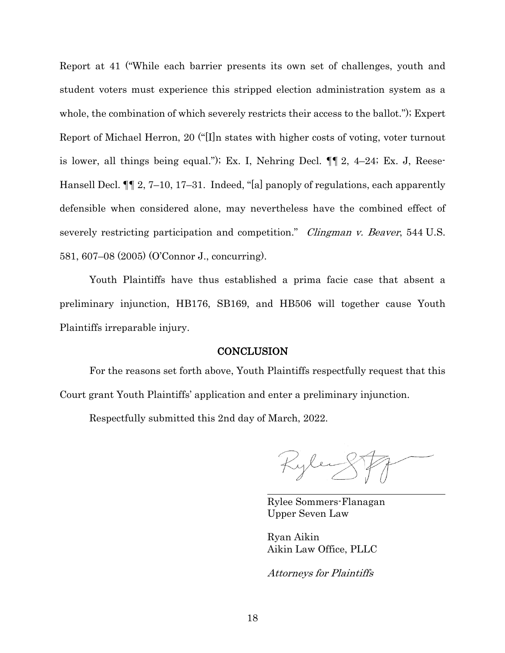Report at 41 ("While each barrier presents its own set of challenges, youth and student voters must experience this stripped election administration system as a whole, the combination of which severely restricts their access to the ballot."); Expert Report of Michael Herron, 20 ("[I]n states with higher costs of voting, voter turnout is lower, all things being equal."); Ex. I, Nehring Decl. ¶¶ 2, 4–24; Ex. J, Reese-Hansell Decl. ¶¶ 2, 7–10, 17–31. Indeed, "[a] panoply of regulations, each apparently defensible when considered alone, may nevertheless have the combined effect of severely restricting participation and competition." *Clingman v. Beaver*, 544 U.S. 581, 607–08 (2005) (O'Connor J., concurring).

Youth Plaintiffs have thus established a prima facie case that absent a preliminary injunction, HB176, SB169, and HB506 will together cause Youth Plaintiffs irreparable injury.

## **CONCLUSION**

For the reasons set forth above, Youth Plaintiffs respectfully request that this Court grant Youth Plaintiffs' application and enter a preliminary injunction.

Respectfully submitted this 2nd day of March, 2022.

Kyley

Rylee Sommers-Flanagan Upper Seven Law

Ryan Aikin Aikin Law Office, PLLC

Attorneys for Plaintiffs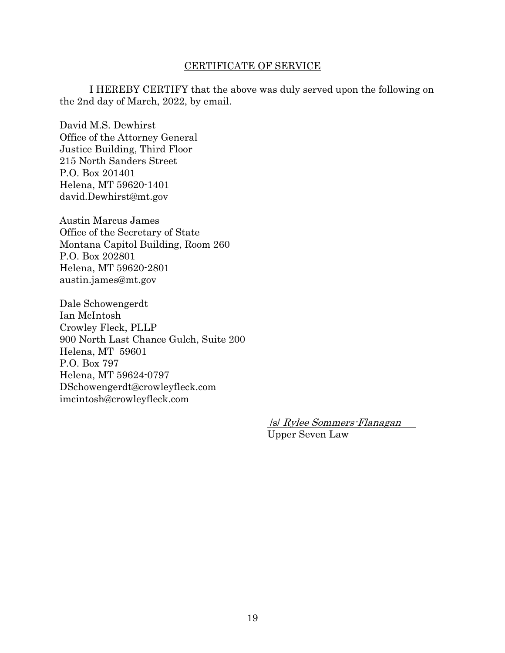## CERTIFICATE OF SERVICE

I HEREBY CERTIFY that the above was duly served upon the following on the 2nd day of March, 2022, by email.

David M.S. Dewhirst Office of the Attorney General Justice Building, Third Floor 215 North Sanders Street P.O. Box 201401 Helena, MT 59620-1401 david.Dewhirst@mt.gov

Austin Marcus James Office of the Secretary of State Montana Capitol Building, Room 260 P.O. Box 202801 Helena, MT 59620-2801 austin.james@mt.gov

Dale Schowengerdt Ian McIntosh Crowley Fleck, PLLP 900 North Last Chance Gulch, Suite 200 Helena, MT 59601 P.O. Box 797 Helena, MT 59624-0797 DSchowengerdt@crowleyfleck.com imcintosh@crowleyfleck.com

> /s/ Rylee Sommers-Flanagan Upper Seven Law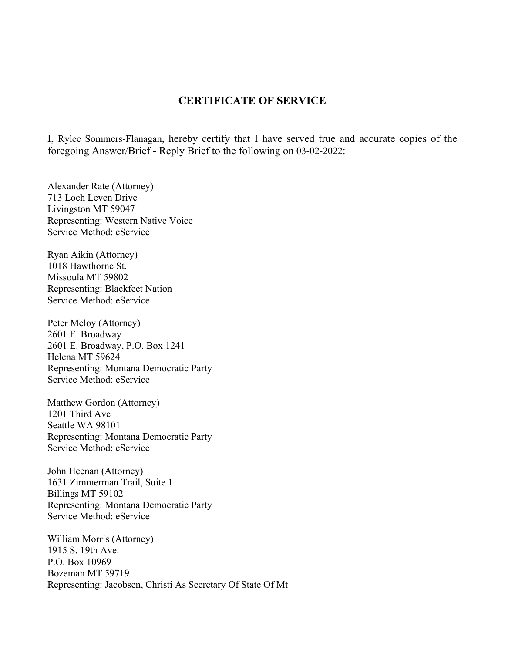# **CERTIFICATE OF SERVICE**

I, Rylee Sommers-Flanagan, hereby certify that I have served true and accurate copies of the foregoing Answer/Brief - Reply Brief to the following on 03-02-2022:

Alexander Rate (Attorney) 713 Loch Leven Drive Livingston MT 59047 Representing: Western Native Voice Service Method: eService

Ryan Aikin (Attorney) 1018 Hawthorne St. Missoula MT 59802 Representing: Blackfeet Nation Service Method: eService

Peter Meloy (Attorney) 2601 E. Broadway 2601 E. Broadway, P.O. Box 1241 Helena MT 59624 Representing: Montana Democratic Party Service Method: eService

Matthew Gordon (Attorney) 1201 Third Ave Seattle WA 98101 Representing: Montana Democratic Party Service Method: eService

John Heenan (Attorney) 1631 Zimmerman Trail, Suite 1 Billings MT 59102 Representing: Montana Democratic Party Service Method: eService

William Morris (Attorney) 1915 S. 19th Ave. P.O. Box 10969 Bozeman MT 59719 Representing: Jacobsen, Christi As Secretary Of State Of Mt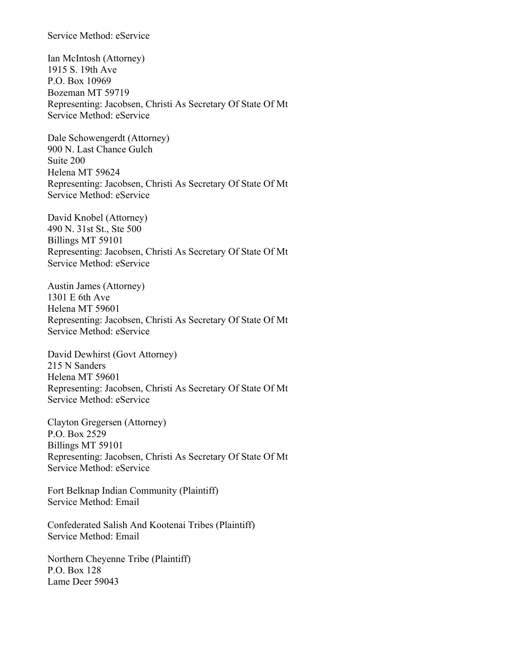## Service Method: eService

Ian McIntosh (Attorney) 1915 S. 19th Ave P.O. Box 10969 Bozeman MT 59719 Representing: Jacobsen, Christi As Secretary Of State Of Mt Service Method: eService

Dale Schowengerdt (Attorney) 900 N. Last Chance Gulch Suite 200 Helena MT 59624 Representing: Jacobsen, Christi As Secretary Of State Of Mt Service Method: eService

David Knobel (Attorney) 490 N. 31st St., Ste 500 Billings MT 59101 Representing: Jacobsen, Christi As Secretary Of State Of Mt Service Method: eService

Austin James (Attorney) 1301 E 6th Ave Helena MT 59601 Representing: Jacobsen, Christi As Secretary Of State Of Mt Service Method: eService

David Dewhirst (Govt Attorney) 215 N Sanders Helena MT 59601 Representing: Jacobsen, Christi As Secretary Of State Of Mt Service Method: eService

Clayton Gregersen (Attorney) P.O. Box 2529 Billings MT 59101 Representing: Jacobsen, Christi As Secretary Of State Of Mt Service Method: eService

Fort Belknap Indian Community (Plaintiff) Service Method: Email

Confederated Salish And Kootenai Tribes (Plaintiff) Service Method: Email

Northern Cheyenne Tribe (Plaintiff) P.O. Box 128 Lame Deer 59043